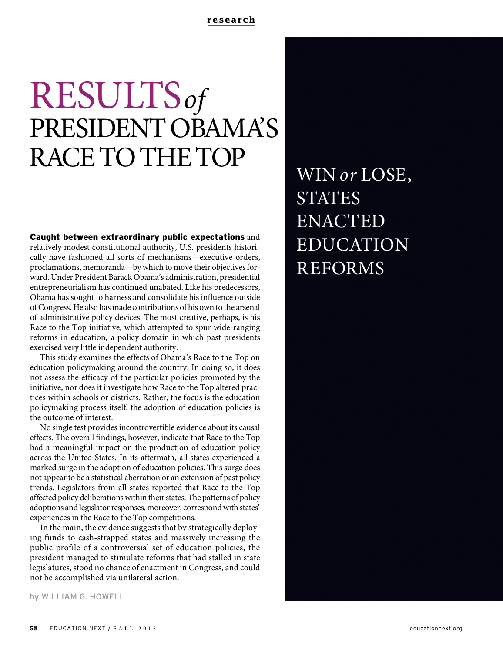# RESULTSof PRESIDENT OBAMA'S RACE TO THE TOP

Caught between extraordinary public expectations and relatively modest constitutional authority, U.S. presidents historically have fashioned all sorts of mechanisms—executive orders, proclamations, memoranda—by which to move their objectives forward. Under President Barack Obama's administration, presidential entrepreneurialism has continued unabated. Like his predecessors, Obama has sought to harness and consolidate his influence outside of Congress. He also has made contributions of his own to the arsenal of administrative policy devices. The most creative, perhaps, is his Race to the Top initiative, which attempted to spur wide-ranging reforms in education, a policy domain in which past presidents exercised very little independent authority.

This study examines the effects of Obama's Race to the Top on education policymaking around the country. In doing so, it does not assess the efficacy of the particular policies promoted by the initiative, nor does it investigate how Race to the Top altered practices within schools or districts. Rather, the focus is the education policymaking process itself; the adoption of education policies is the outcome of interest.

No single test provides incontrovertible evidence about its causal effects. The overall findings, however, indicate that Race to the Top had a meaningful impact on the production of education policy across the United States. In its aftermath, all states experienced a marked surge in the adoption of education policies. This surge does not appear to be a statistical aberration or an extension of past policy trends. Legislators from all states reported that Race to the Top affected policy deliberations within their states. The patterns of policy adoptions and legislator responses, moreover, correspond with states' experiences in the Race to the Top competitions.

In the main, the evidence suggests that by strategically deploying funds to cash-strapped states and massively increasing the public profile of a controversial set of education policies, the president managed to stimulate reforms that had stalled in state legislatures, stood no chance of enactment in Congress, and could not be accomplished via unilateral action.

WIN or LOSE, STATES ENACTED EDUCATION REFORMS

by WILLIAM G. HOWELL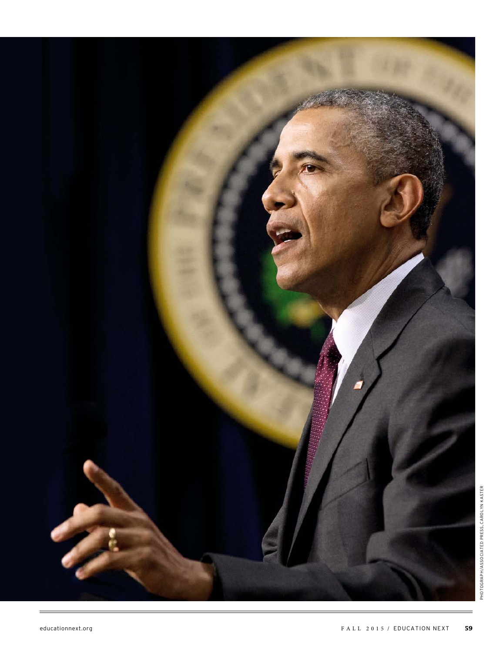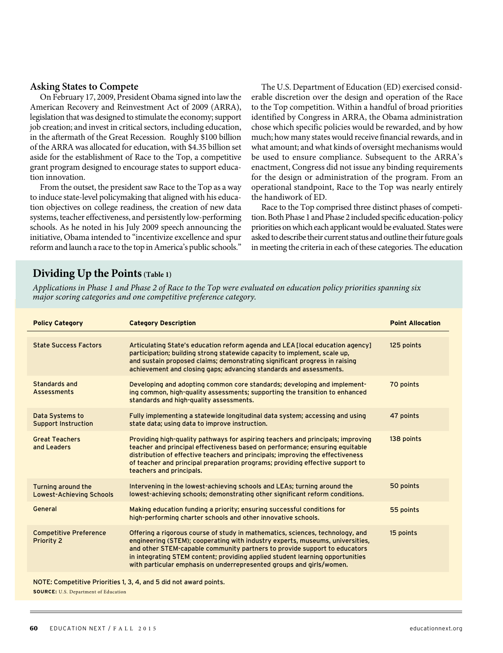### **Asking States to Compete**

On February 17, 2009, President Obama signed into law the American Recovery and Reinvestment Act of 2009 (ARRA), legislation that was designed to stimulate the economy; support job creation; and invest in critical sectors, including education, in the aftermath of the Great Recession. Roughly \$100 billion of the ARRA was allocated for education, with \$4.35 billion set aside for the establishment of Race to the Top, a competitive grant program designed to encourage states to support education innovation.

From the outset, the president saw Race to the Top as a way to induce state-level policymaking that aligned with his education objectives on college readiness, the creation of new data systems, teacher effectiveness, and persistently low-performing schools. As he noted in his July 2009 speech announcing the initiative, Obama intended to "incentivize excellence and spur reform and launch a race to the top in America's public schools."

The U.S. Department of Education (ED) exercised considerable discretion over the design and operation of the Race to the Top competition. Within a handful of broad priorities identified by Congress in ARRA, the Obama administration chose which specific policies would be rewarded, and by how much; how many states would receive financial rewards, and in what amount; and what kinds of oversight mechanisms would be used to ensure compliance. Subsequent to the ARRA's enactment, Congress did not issue any binding requirements for the design or administration of the program. From an operational standpoint, Race to the Top was nearly entirely the handiwork of ED.

Race to the Top comprised three distinct phases of competition. Both Phase 1 and Phase 2 included specific education-policy priorities on which each applicant would be evaluated. States were asked to describe their current status and outline their future goals in meeting the criteria in each of these categories. The education

# **Dividing Up the Points(Table 1)**

Applications in Phase 1 and Phase 2 of Race to the Top were evaluated on education policy priorities spanning six major scoring categories and one competitive preference category.

| <b>Policy Category</b>                                            | <b>Category Description</b>                                                                                                                                                                                                                                                                                                                                                                          | <b>Point Allocation</b> |
|-------------------------------------------------------------------|------------------------------------------------------------------------------------------------------------------------------------------------------------------------------------------------------------------------------------------------------------------------------------------------------------------------------------------------------------------------------------------------------|-------------------------|
| <b>State Success Factors</b>                                      | Articulating State's education reform agenda and LEA [local education agency]<br>participation; building strong statewide capacity to implement, scale up,<br>and sustain proposed claims; demonstrating significant progress in raising<br>achievement and closing gaps; advancing standards and assessments.                                                                                       | 125 points              |
| Standards and<br><b>Assessments</b>                               | Developing and adopting common core standards; developing and implement-<br>ing common, high-quality assessments; supporting the transition to enhanced<br>standards and high-quality assessments.                                                                                                                                                                                                   | 70 points               |
| Data Systems to<br><b>Support Instruction</b>                     | Fully implementing a statewide longitudinal data system; accessing and using<br>state data; using data to improve instruction.                                                                                                                                                                                                                                                                       | 47 points               |
| <b>Great Teachers</b><br>and Leaders                              | Providing high-quality pathways for aspiring teachers and principals; improving<br>teacher and principal effectiveness based on performance; ensuring equitable<br>distribution of effective teachers and principals; improving the effectiveness<br>of teacher and principal preparation programs; providing effective support to<br>teachers and principals.                                       | 138 points              |
| Turning around the<br><b>Lowest-Achieving Schools</b>             | Intervening in the lowest-achieving schools and LEAs; turning around the<br>lowest-achieving schools; demonstrating other significant reform conditions.                                                                                                                                                                                                                                             | 50 points               |
| General                                                           | Making education funding a priority; ensuring successful conditions for<br>high-performing charter schools and other innovative schools.                                                                                                                                                                                                                                                             | 55 points               |
| <b>Competitive Preference</b><br>Priority 2                       | Offering a rigorous course of study in mathematics, sciences, technology, and<br>engineering (STEM); cooperating with industry experts, museums, universities,<br>and other STEM-capable community partners to provide support to educators<br>in integrating STEM content; providing applied student learning opportunities<br>with particular emphasis on underrepresented groups and girls/women. | 15 points               |
| NOTE: Competitive Priorities 1, 3, 4, and 5 did not award points. |                                                                                                                                                                                                                                                                                                                                                                                                      |                         |

**SOURCE:** U.S. Department of Education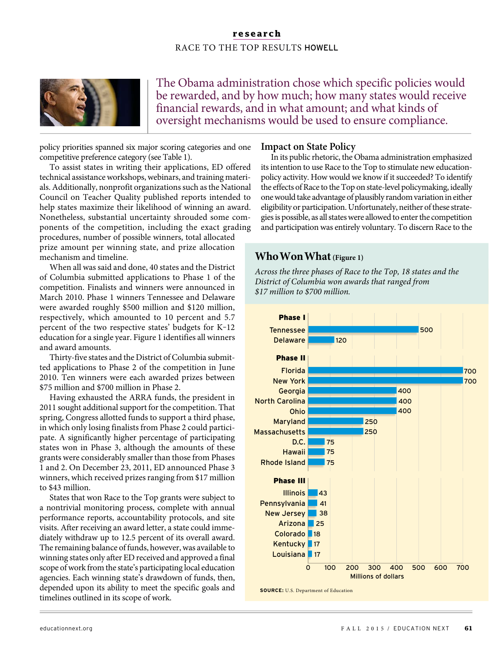

The Obama administration chose which specific policies would be rewarded, and by how much; how many states would receive financial rewards, and in what amount; and what kinds of oversight mechanisms would be used to ensure compliance.

policy priorities spanned six major scoring categories and one competitive preference category (see Table 1).

To assist states in writing their applications, ED offered technical assistance workshops, webinars, and training materials. Additionally, nonprofit organizations such as the National Council on Teacher Quality published reports intended to help states maximize their likelihood of winning an award. Nonetheless, substantial uncertainty shrouded some components of the competition, including the exact grading

procedures, number of possible winners, total allocated prize amount per winning state, and prize allocation mechanism and timeline.

When all was said and done, 40 states and the District of Columbia submitted applications to Phase 1 of the competition. Finalists and winners were announced in March 2010. Phase 1 winners Tennessee and Delaware were awarded roughly \$500 million and \$120 million, respectively, which amounted to 10 percent and 5.7 percent of the two respective states' budgets for K-12 education for a single year. Figure 1 identifies all winners and award amounts.

Thirty-five states and the District of Columbia submitted applications to Phase 2 of the competition in June 2010. Ten winners were each awarded prizes between \$75 million and \$700 million in Phase 2.

Having exhausted the ARRA funds, the president in 2011 sought additional support for the competition. That spring, Congress allotted funds to support a third phase, in which only losing finalists from Phase 2 could participate. A significantly higher percentage of participating states won in Phase 3, although the amounts of these grants were considerably smaller than those from Phases 1 and 2. On December 23, 2011, ED announced Phase 3 winners, which received prizes ranging from \$17 million to \$43 million.

States that won Race to the Top grants were subject to a nontrivial monitoring process, complete with annual performance reports, accountability protocols, and site visits. After receiving an award letter, a state could immediately withdraw up to 12.5 percent of its overall award. The remaining balance of funds, however, was available to winning states only after ED received and approved a final scope of work from the state's participating local education agencies. Each winning state's drawdown of funds, then, depended upon its ability to meet the specific goals and timelines outlined in its scope of work.

### **Impact on State Policy**

In its public rhetoric, the Obama administration emphasized its intention to use Race to the Top to stimulate new educationpolicy activity. How would we know if it succeeded? To identify the effects of Race to the Top on state-level policymaking, ideally one would take advantage of plausibly random variation in either eligibility or participation. Unfortunately, neither of these strategies is possible, as all states were allowed to enter the competition and participation was entirely voluntary. To discern Race to the

# **Who Won What (Figure 1)**

Across the three phases of Race to the Top, 18 states and the District of Columbia won awards that ranged from \$17 million to \$700 million.



**SOURCE:** U.S. Department of Education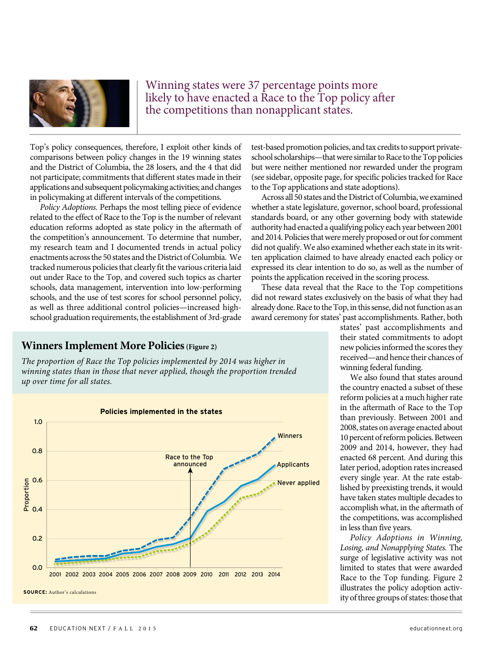

Winning states were 37 percentage points more likely to have enacted a Race to the Top policy after the competitions than nonapplicant states.

Top's policy consequences, therefore, I exploit other kinds of comparisons between policy changes in the 19 winning states and the District of Columbia, the 28 losers, and the 4 that did not participate; commitments that different states made in their applications and subsequent policymaking activities; and changes in policymaking at different intervals of the competitions.

Policy Adoptions. Perhaps the most telling piece of evidence related to the effect of Race to the Top is the number of relevant education reforms adopted as state policy in the aftermath of the competition's announcement. To determine that number, my research team and I documented trends in actual policy enactments across the 50 states and the District of Columbia. We tracked numerous policies that clearly fit the various criteria laid out under Race to the Top, and covered such topics as charter schools, data management, intervention into low-performing schools, and the use of test scores for school personnel policy, as well as three additional control policies—increased highschool graduation requirements, the establishment of 3rd-grade

### **Winners Implement More Policies(Figure 2)**

The proportion of Race the Top policies implemented by 2014 was higher in winning states than in those that never applied, though the proportion trended up over time for all states.



test-based promotion policies, and tax credits to support privateschool scholarships—that were similar to Race to the Top policies but were neither mentioned nor rewarded under the program (see sidebar, opposite page, for specific policies tracked for Race to the Top applications and state adoptions).

Across all 50 states and the District of Columbia, we examined whether a state legislature, governor, school board, professional standards board, or any other governing body with statewide authority had enacted a qualifying policy each year between 2001 and 2014. Policies that were merely proposed or out for comment did not qualify. We also examined whether each state in its written application claimed to have already enacted each policy or expressed its clear intention to do so, as well as the number of points the application received in the scoring process.

These data reveal that the Race to the Top competitions did not reward states exclusively on the basis of what they had already done. Race to the Top, in this sense, did not function as an award ceremony for states' past accomplishments. Rather, both

> states' past accomplishments and their stated commitments to adopt new policies informed the scores they received—and hence their chances of winning federal funding.

> We also found that states around the country enacted a subset of these reform policies at a much higher rate in the aftermath of Race to the Top than previously. Between 2001 and 2008, states on average enacted about 10 percent of reform policies. Between 2009 and 2014, however, they had enacted 68 percent. And during this later period, adoption rates increased every single year. At the rate established by preexisting trends, it would have taken states multiple decades to accomplish what, in the aftermath of the competitions, was accomplished in less than five years.

> Policy Adoptions in Winning, Losing, and Nonapplying States. The surge of legislative activity was not limited to states that were awarded Race to the Top funding. Figure 2 illustrates the policy adoption activity of three groups of states: those that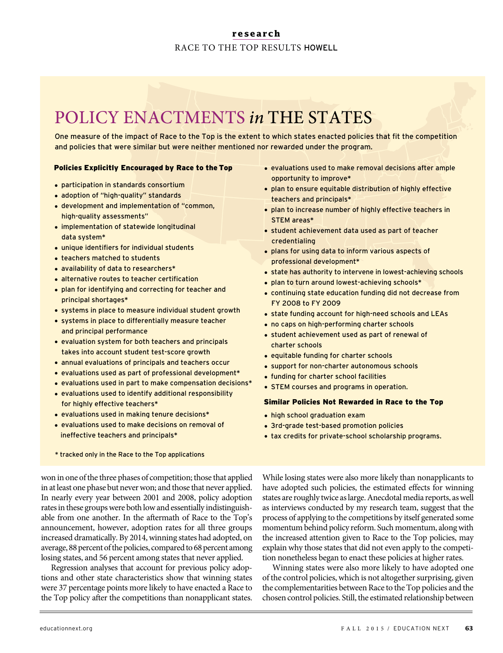# POLICY ENACTMENTS in THE STATES

One measure of the impact of Race to the Top is the extent to which states enacted policies that fit the competition and policies that were similar but were neither mentioned nor rewarded under the program.

### Policies Explicitly Encouraged by Race to the Top

- · participation in standards consortium
- · adoption of "high-quality" standards
- · development and implementation of "common, high-quality assessments"
- · implementation of statewide longitudinal data system\*
- · unique identifiers for individual students
- · teachers matched to students
- · availability of data to researchers\*
- · alternative routes to teacher certification
- · plan for identifying and correcting for teacher and principal shortages\*
- · systems in place to measure individual student growth
- · systems in place to differentially measure teacher and principal performance
- · evaluation system for both teachers and principals takes into account student test-score growth
- · annual evaluations of principals and teachers occur
- · evaluations used as part of professional development\*
- · evaluations used in part to make compensation decisions\*
- · evaluations used to identify additional responsibility for highly effective teachers\*
- · evaluations used in making tenure decisions\*
- · evaluations used to make decisions on removal of ineffective teachers and principals\*
- \* tracked only in the Race to the Top applications

won in one of the three phases of competition; those that applied in at least one phase but never won; and those that never applied. In nearly every year between 2001 and 2008, policy adoption rates in these groups were both low and essentially indistinguishable from one another. In the aftermath of Race to the Top's announcement, however, adoption rates for all three groups increased dramatically. By 2014, winning states had adopted, on average, 88 percent of the policies, compared to 68 percent among losing states, and 56 percent among states that never applied.

Regression analyses that account for previous policy adoptions and other state characteristics show that winning states were 37 percentage points more likely to have enacted a Race to the Top policy after the competitions than nonapplicant states.

- · evaluations used to make removal decisions after ample opportunity to improve\*
- · plan to ensure equitable distribution of highly effective teachers and principals\*
- · plan to increase number of highly effective teachers in STEM areas\*
- · student achievement data used as part of teacher credentialing
- · plans for using data to inform various aspects of professional development\*
- state has authority to intervene in lowest-achieving schools
- · plan to turn around lowest-achieving schools\*
- · continuing state education funding did not decrease from FY 2008 to FY 2009
- · state funding account for high-need schools and LEAs
- · no caps on high-performing charter schools
- · student achievement used as part of renewal of charter schools
- · equitable funding for charter schools
- · support for non-charter autonomous schools
- · funding for charter school facilities
- · STEM courses and programs in operation.

#### Similar Policies Not Rewarded in Race to the Top

- · high school graduation exam
- · 3rd-grade test-based promotion policies
- · tax credits for private-school scholarship programs.

While losing states were also more likely than nonapplicants to have adopted such policies, the estimated effects for winning states are roughly twice as large. Anecdotal media reports, as well as interviews conducted by my research team, suggest that the process of applying to the competitions by itself generated some momentum behind policy reform. Such momentum, along with the increased attention given to Race to the Top policies, may explain why those states that did not even apply to the competition nonetheless began to enact these policies at higher rates.

Winning states were also more likely to have adopted one of the control policies, which is not altogether surprising, given the complementarities between Race to the Top policies and the chosen control policies. Still, the estimated relationship between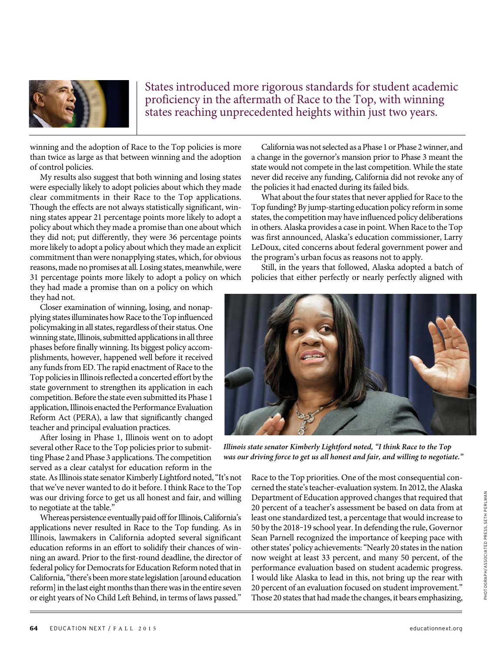

States introduced more rigorous standards for student academic proficiency in the aftermath of Race to the Top, with winning states reaching unprecedented heights within just two years.

winning and the adoption of Race to the Top policies is more than twice as large as that between winning and the adoption of control policies.

My results also suggest that both winning and losing states were especially likely to adopt policies about which they made clear commitments in their Race to the Top applications. Though the effects are not always statistically significant, winning states appear 21 percentage points more likely to adopt a policy about which they made a promise than one about which they did not; put differently, they were 36 percentage points more likely to adopt a policy about which they made an explicit commitment than were nonapplying states, which, for obvious reasons, made no promises at all. Losing states, meanwhile, were 31 percentage points more likely to adopt a policy on which they had made a promise than on a policy on which they had not.

Closer examination of winning, losing, and nonapplying states illuminates how Race to the Top influenced policymaking in all states, regardless of their status. One winning state, Illinois, submitted applications in all three phases before finally winning. Its biggest policy accomplishments, however, happened well before it received any funds from ED. The rapid enactment of Race to the Top policies in Illinois reflected a concerted effort by the state government to strengthen its application in each competition. Before the state even submitted its Phase 1 application, Illinois enacted the Performance Evaluation Reform Act (PERA), a law that significantly changed teacher and principal evaluation practices.

After losing in Phase 1, Illinois went on to adopt several other Race to the Top policies prior to submitting Phase 2 and Phase 3 applications. The competition served as a clear catalyst for education reform in the

state. As Illinois state senator Kimberly Lightford noted, "It's not that we've never wanted to do it before. I think Race to the Top was our driving force to get us all honest and fair, and willing to negotiate at the table."

Whereas persistence eventually paid off for Illinois, California's applications never resulted in Race to the Top funding. As in Illinois, lawmakers in California adopted several significant education reforms in an effort to solidify their chances of winning an award. Prior to the first-round deadline, the director of federal policy for Democrats for Education Reform noted that in California, "there's been more state legislation [around education reform] in the last eight months than there was in the entire seven or eight years of No Child Left Behind, in terms of laws passed."

California was not selected as a Phase 1 or Phase 2 winner, and a change in the governor's mansion prior to Phase 3 meant the state would not compete in the last competition. While the state never did receive any funding, California did not revoke any of the policies it had enacted during its failed bids.

What about the four states that never applied for Race to the Top funding? By jump-starting education policy reform in some states, the competition may have influenced policy deliberations in others. Alaska provides a case in point. When Race to the Top was first announced, Alaska's education commissioner, Larry LeDoux, cited concerns about federal government power and the program's urban focus as reasons not to apply.

Still, in the years that followed, Alaska adopted a batch of policies that either perfectly or nearly perfectly aligned with



**Illinois state senator Kimberly Lightford noted, "I think Race to the Top was our driving force to get us all honest and fair, and willing to negotiate."**

Race to the Top priorities. One of the most consequential concerned the state's teacher-evaluation system. In 2012, the Alaska Department of Education approved changes that required that 20 percent of a teacher's assessment be based on data from at least one standardized test, a percentage that would increase to 50 by the 2018-19 school year. In defending the rule, Governor Sean Parnell recognized the importance of keeping pace with other states' policy achievements: "Nearly 20 states in the nation now weight at least 33 percent, and many 50 percent, of the performance evaluation based on student academic progress. I would like Alaska to lead in this, not bring up the rear with 20 percent of an evaluation focused on student improvement." Those 20 states that had made the changes, it bears emphasizing,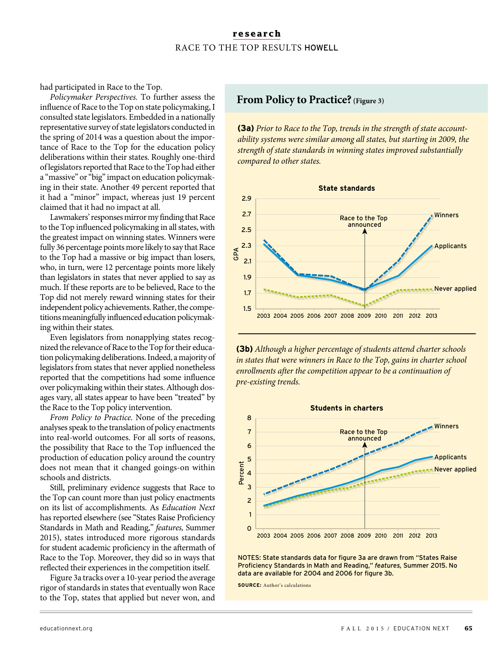had participated in Race to the Top.

Policymaker Perspectives. To further assess the influence of Race to the Top on state policymaking, I consulted state legislators. Embedded in a nationally representative survey of state legislators conducted in the spring of 2014 was a question about the importance of Race to the Top for the education policy deliberations within their states. Roughly one-third of legislators reported that Race to the Top had either a "massive" or "big" impact on education policymaking in their state. Another 49 percent reported that it had a "minor" impact, whereas just 19 percent claimed that it had no impact at all.

Lawmakers' responses mirror my finding that Race to the Top influenced policymaking in all states, with the greatest impact on winning states. Winners were fully 36 percentage points more likely to say that Race to the Top had a massive or big impact than losers, who, in turn, were 12 percentage points more likely than legislators in states that never applied to say as much. If these reports are to be believed, Race to the Top did not merely reward winning states for their independent policy achievements. Rather, the competitions meaningfully influenced education policymaking within their states.

Even legislators from nonapplying states recognized the relevance of Race to the Top for their education policymaking deliberations. Indeed, a majority of legislators from states that never applied nonetheless reported that the competitions had some influence over policymaking within their states. Although dosages vary, all states appear to have been "treated" by the Race to the Top policy intervention.

From Policy to Practice. None of the preceding analyses speak to the translation of policy enactments into real-world outcomes. For all sorts of reasons, the possibility that Race to the Top influenced the production of education policy around the country does not mean that it changed goings-on within schools and districts.

Still, preliminary evidence suggests that Race to the Top can count more than just policy enactments on its list of accomplishments. As Education Next has reported elsewhere (see "States Raise Proficiency Standards in Math and Reading," features, Summer 2015), states introduced more rigorous standards for student academic proficiency in the aftermath of Race to the Top. Moreover, they did so in ways that reflected their experiences in the competition itself.

Figure 3a tracks over a 10-year period the average rigor of standards in states that eventually won Race to the Top, states that applied but never won, and

# **From Policy to Practice?** (Figure 3)

**(3a)** Prior to Race to the Top, trends in the strength of state accountability systems were similar among all states, but starting in 2009, the strength of state standards in winning states improved substantially compared to other states.



**(3b)** Although a higher percentage of students attend charter schools in states that were winners in Race to the Top, gains in charter school enrollments after the competition appear to be a continuation of pre-existing trends.



NOTES: State standards data for figure 3a are drawn from "States Raise Proficiency Standards in Math and Reading," *features,* Summer 2015. No data are available for 2004 and 2006 for figure 3b.

**SOURCE:** Author's calculations